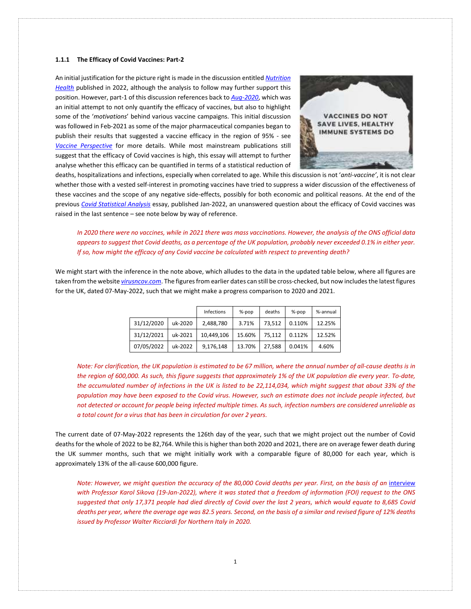### **1.1.1 The Efficacy of Covid Vaccines: Part-2**

An initial justification for the picture right is made in the discussion entitled *[Nutrition](http://www.mysearch.org.uk/website4/html/100.Nutrition.html)  [Health](http://www.mysearch.org.uk/website4/html/100.Nutrition.html)* published in 2022, although the analysis to follow may further support this position. However, part-1 of this discussion references back to *[Aug-2020](http://www.mysearch.org.uk/website4/html/30.Vaccines.html)*, which was an initial attempt to not only quantify the efficacy of vaccines, but also to highlight some of the '*motivations*' behind various vaccine campaigns. This initial discussion was followed in Feb-2021 as some of the major pharmaceutical companies began to publish their results that suggested a vaccine efficacy in the region of 95% - see *[Vaccine Perspective](http://www.mysearch.org.uk/website4/html/61.Perspective.html)* for more details. While most mainstream publications still suggest that the efficacy of Covid vaccines is high, this essay will attempt to further analyse whether this efficacy can be quantified in terms of a statistical reduction of



deaths, hospitalizations and infections, especially when correlated to age. While this discussion is not '*anti-vaccine'*, it is not clear whether those with a vested self-interest in promoting vaccines have tried to suppress a wider discussion of the effectiveness of these vaccines and the scope of any negative side-effects, possibly for both economic and political reasons. At the end of the previous *[Covid Statistical Analysis](http://www.mysearch.org.uk/website4/html/70.Pandemic.html)* essay, published Jan-2022, an unanswered question about the efficacy of Covid vaccines was raised in the last sentence – see note below by way of reference.

*In 2020 there were no vaccines, while in 2021 there was mass vaccinations. However, the analysis of the ONS official data appears to suggest that Covid deaths, as a percentage of the UK population, probably never exceeded 0.1% in either year. If so, how might the efficacy of any Covid vaccine be calculated with respect to preventing death?* 

We might start with the inference in the note above, which alludes to the data in the updated table below, where all figures are taken from the website *[virusncov.com](https://virusncov.com/)*. The figures from earlier dates can still be cross-checked, but now includes the latest figures for the UK, dated 07-May-2022, such that we might make a progress comparison to 2020 and 2021.

|            |         | Infections | $%-pop$ | deaths | $%-pop$ | %-annual |
|------------|---------|------------|---------|--------|---------|----------|
| 31/12/2020 | uk-2020 | 2,488,780  | 3.71%   | 73.512 | 0.110%  | 12.25%   |
| 31/12/2021 | uk-2021 | 10.449.106 | 15.60%  | 75.112 | 0.112%  | 12.52%   |
| 07/05/2022 | uk-2022 | 9,176,148  | 13.70%  | 27.588 | 0.041%  | 4.60%    |

*Note: For clarification, the UK population is estimated to be 67 million, where the annual number of all-cause deaths is in the region of 600,000. As such, this figure suggests that approximately 1% of the UK population die every year. To-date, the accumulated number of infections in the UK is listed to be 22,114,034, which might suggest that about 33% of the population may have been exposed to the Covid virus. However, such an estimate does not include people infected, but not detected or account for people being infected multiple times. As such, infection numbers are considered unreliable as a total count for a virus that has been in circulation for over 2 years.*

The current date of 07-May-2022 represents the 126th day of the year, such that we might project out the number of Covid deaths for the whole of 2022 to be 82,764. While this is higher than both 2020 and 2021, there are on average fewer death during the UK summer months, such that we might initially work with a comparable figure of 80,000 for each year, which is approximately 13% of the all-cause 600,000 figure.

*Note: However, we might question the accuracy of the 80,000 Covid deaths per year. First, on the basis of an* [interview](https://www.youtube.com/watch?v=U90eDxJV_9k) *with Professor Karol Sikova (19-Jan-2022), where it was stated that a freedom of information (FOI) request to the ONS suggested that only 17,371 people had died directly of Covid over the last 2 years, which would equate to 8,685 Covid deaths per year, where the average age was 82.5 years. Second, on the basis of a similar and revised figure of 12% deaths issued by Professor Walter Ricciardi for Northern Italy in 2020.*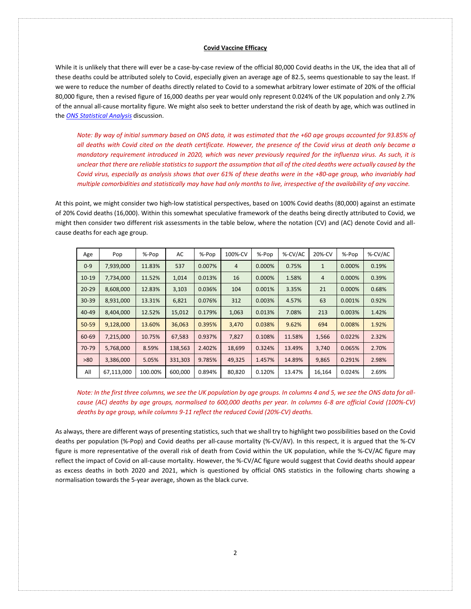While it is unlikely that there will ever be a case-by-case review of the official 80,000 Covid deaths in the UK, the idea that all of these deaths could be attributed solely to Covid, especially given an average age of 82.5, seems questionable to say the least. If we were to reduce the number of deaths directly related to Covid to a somewhat arbitrary lower estimate of 20% of the official 80,000 figure, then a revised figure of 16,000 deaths per year would only represent 0.024% of the UK population and only 2.7% of the annual all-cause mortality figure. We might also seek to better understand the risk of death by age, which was outlined in the *[ONS Statistical Analysis](http://www.mysearch.org.uk/website4/html/70.Pandemic.html)* discussion.

*Note: By way of initial summary based on ONS data, it was estimated that the +60 age groups accounted for 93.85% of all deaths with Covid cited on the death certificate. However, the presence of the Covid virus at death only became a mandatory requirement introduced in 2020, which was never previously required for the influenza virus. As such, it is unclear that there are reliable statistics to support the assumption that all of the cited deaths were actually caused by the Covid virus, especially as analysis shows that over 61% of these deaths were in the +80-age group, who invariably had multiple comorbidities and statistically may have had only months to live, irrespective of the availability of any vaccine.* 

At this point, we might consider two high-low statistical perspectives, based on 100% Covid deaths (80,000) against an estimate of 20% Covid deaths (16,000). Within this somewhat speculative framework of the deaths being directly attributed to Covid, we might then consider two different risk assessments in the table below, where the notation (CV) and (AC) denote Covid and allcause deaths for each age group.

| Age       | Pop        | %-Pop   | AC      | %-Pop  | 100%-CV        | %-Pop  | %-CV/AC | 20%-CV         | %-Pop  | %-CV/AC |
|-----------|------------|---------|---------|--------|----------------|--------|---------|----------------|--------|---------|
| $0 - 9$   | 7,939,000  | 11.83%  | 537     | 0.007% | $\overline{4}$ | 0.000% | 0.75%   | $\mathbf{1}$   | 0.000% | 0.19%   |
| $10-19$   | 7,734,000  | 11.52%  | 1,014   | 0.013% | 16             | 0.000% | 1.58%   | $\overline{4}$ | 0.000% | 0.39%   |
| $20 - 29$ | 8,608,000  | 12.83%  | 3,103   | 0.036% | 104            | 0.001% | 3.35%   | 21             | 0.000% | 0.68%   |
| $30 - 39$ | 8,931,000  | 13.31%  | 6,821   | 0.076% | 312            | 0.003% | 4.57%   | 63             | 0.001% | 0.92%   |
| $40 - 49$ | 8,404,000  | 12.52%  | 15,012  | 0.179% | 1,063          | 0.013% | 7.08%   | 213            | 0.003% | 1.42%   |
| 50-59     | 9,128,000  | 13.60%  | 36,063  | 0.395% | 3,470          | 0.038% | 9.62%   | 694            | 0.008% | 1.92%   |
| 60-69     | 7,215,000  | 10.75%  | 67,583  | 0.937% | 7,827          | 0.108% | 11.58%  | 1,566          | 0.022% | 2.32%   |
| 70-79     | 5,768,000  | 8.59%   | 138,563 | 2.402% | 18,699         | 0.324% | 13.49%  | 3,740          | 0.065% | 2.70%   |
| >80       | 3,386,000  | 5.05%   | 331,303 | 9.785% | 49,325         | 1.457% | 14.89%  | 9,865          | 0.291% | 2.98%   |
| All       | 67,113,000 | 100.00% | 600,000 | 0.894% | 80,820         | 0.120% | 13.47%  | 16,164         | 0.024% | 2.69%   |

*Note: In the first three columns, we see the UK population by age groups. In columns 4 and 5, we see the ONS data for allcause (AC) deaths by age groups, normalised to 600,000 deaths per year. In columns 6-8 are official Covid (100%-CV) deaths by age group, while columns 9-11 reflect the reduced Covid (20%-CV) deaths.*

As always, there are different ways of presenting statistics, such that we shall try to highlight two possibilities based on the Covid deaths per population (%-Pop) and Covid deaths per all-cause mortality (%-CV/AV). In this respect, it is argued that the %-CV figure is more representative of the overall risk of death from Covid within the UK population, while the %-CV/AC figure may reflect the impact of Covid on all-cause mortality. However, the %-CV/AC figure would suggest that Covid deaths should appear as excess deaths in both 2020 and 2021, which is questioned by official ONS statistics in the following charts showing a normalisation towards the 5-year average, shown as the black curve.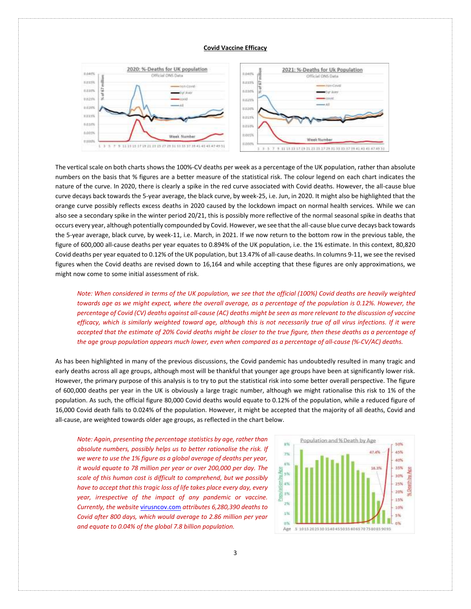

The vertical scale on both charts shows the 100%-CV deaths per week as a percentage of the UK population, rather than absolute numbers on the basis that % figures are a better measure of the statistical risk. The colour legend on each chart indicates the nature of the curve. In 2020, there is clearly a spike in the red curve associated with Covid deaths. However, the all-cause blue curve decays back towards the 5-year average, the black curve, by week-25, i.e. Jun, in 2020. It might also be highlighted that the orange curve possibly reflects excess deaths in 2020 caused by the lockdown impact on normal health services. While we can also see a secondary spike in the winter period 20/21, this is possibly more reflective of the normal seasonal spike in deaths that occurs every year, although potentially compounded by Covid. However, we see that the all-cause blue curve decays back towards the 5-year average, black curve, by week-11, i.e. March, in 2021. If we now return to the bottom row in the previous table, the figure of 600,000 all-cause deaths per year equates to 0.894% of the UK population, i.e. the 1% estimate. In this context, 80,820 Covid deaths per year equated to 0.12% of the UK population, but 13.47% of all-cause deaths. In columns 9-11, we see the revised figures when the Covid deaths are revised down to 16,164 and while accepting that these figures are only approximations, we might now come to some initial assessment of risk.

*Note: When considered in terms of the UK population, we see that the official (100%) Covid deaths are heavily weighted towards age as we might expect, where the overall average, as a percentage of the population is 0.12%. However, the percentage of Covid (CV) deaths against all-cause (AC) deaths might be seen as more relevant to the discussion of vaccine efficacy, which is similarly weighted toward age, although this is not necessarily true of all virus infections. If it were accepted that the estimate of 20% Covid deaths might be closer to the true figure, then these deaths as a percentage of the age group population appears much lower, even when compared as a percentage of all-cause (%-CV/AC) deaths.*

As has been highlighted in many of the previous discussions, the Covid pandemic has undoubtedly resulted in many tragic and early deaths across all age groups, although most will be thankful that younger age groups have been at significantly lower risk. However, the primary purpose of this analysis is to try to put the statistical risk into some better overall perspective. The figure of 600,000 deaths per year in the UK is obviously a large tragic number, although we might rationalise this risk to 1% of the population. As such, the official figure 80,000 Covid deaths would equate to 0.12% of the population, while a reduced figure of 16,000 Covid death falls to 0.024% of the population. However, it might be accepted that the majority of all deaths, Covid and all-cause, are weighted towards older age groups, as reflected in the chart below.

*Note: Again, presenting the percentage statistics by age, rather than absolute numbers, possibly helps us to better rationalise the risk. If we were to use the 1% figure as a global average of deaths per year, it would equate to 78 million per year or over 200,000 per day. The scale of this human cost is difficult to comprehend, but we possibly have to accept that this tragic loss of life takes place every day, every year, irrespective of the impact of any pandemic or vaccine. Currently, the website* [virusncov.com](https://virusncov.com/) *attributes 6,280,390 deaths to Covid after 800 days, which would average to 2.86 million per year and equate to 0.04% of the global 7.8 billion population.* 

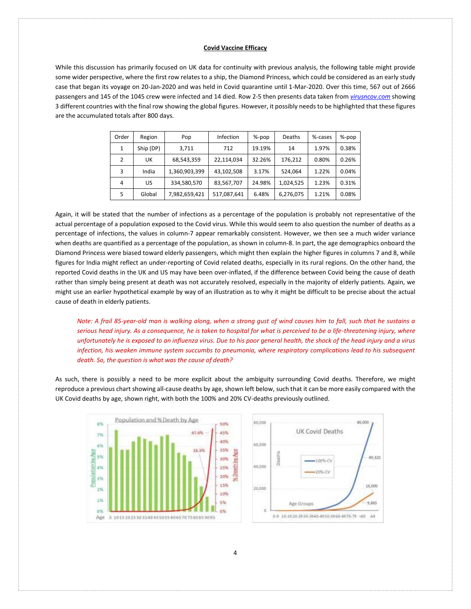While this discussion has primarily focused on UK data for continuity with previous analysis, the following table might provide some wider perspective, where the first row relates to a ship, the Diamond Princess, which could be considered as an early study case that began its voyage on 20-Jan-2020 and was held in Covid quarantine until 1-Mar-2020. Over this time, 567 out of 2666 passengers and 145 of the 1045 crew were infected and 14 died. Row 2-5 then presents data taken from *[virusncov.com](https://virusncov.com/)* showing 3 different countries with the final row showing the global figures. However, it possibly needs to be highlighted that these figures are the accumulated totals after 800 days.

| Order | Region    | Pop           | Infection   | %-pop  | Deaths    | %-cases | %-pop |
|-------|-----------|---------------|-------------|--------|-----------|---------|-------|
| 1     | Ship (DP) | 3,711         | 712         | 19.19% | 14        | 1.97%   | 0.38% |
| 2     | UK        | 68,543,359    | 22,114,034  | 32.26% | 176,212   | 0.80%   | 0.26% |
| 3     | India     | 1,360,903,399 | 43,102,508  | 3.17%  | 524,064   | 1.22%   | 0.04% |
| 4     | US        | 334,580,570   | 83,567,707  | 24.98% | 1,024,525 | 1.23%   | 0.31% |
| 5     | Global    | 7,982,659,421 | 517,087,641 | 6.48%  | 6,276,075 | 1.21%   | 0.08% |

Again, it will be stated that the number of infections as a percentage of the population is probably not representative of the actual percentage of a population exposed to the Covid virus. While this would seem to also question the number of deaths as a percentage of infections, the values in column-7 appear remarkably consistent. However, we then see a much wider variance when deaths are quantified as a percentage of the population, as shown in column-8. In part, the age demographics onboard the Diamond Princess were biased toward elderly passengers, which might then explain the higher figures in columns 7 and 8, while figures for India might reflect an under-reporting of Covid related deaths, especially in its rural regions. On the other hand, the reported Covid deaths in the UK and US may have been over-inflated, if the difference between Covid being the cause of death rather than simply being present at death was not accurately resolved, especially in the majority of elderly patients. Again, we might use an earlier hypothetical example by way of an illustration as to why it might be difficult to be precise about the actual cause of death in elderly patients.

*Note: A frail 85-year-old man is walking along, when a strong gust of wind causes him to fall, such that he sustains a serious head injury. As a consequence, he is taken to hospital for what is perceived to be a life-threatening injury, where unfortunately he is exposed to an influenza virus. Due to his poor general health, the shock of the head injury and a virus infection, his weaken immune system succumbs to pneumonia, where respiratory complications lead to his subsequent death. So, the question is what was the cause of death?*

As such, there is possibly a need to be more explicit about the ambiguity surrounding Covid deaths. Therefore, we might reproduce a previous chart showing all-cause deaths by age, shown left below, such that it can be more easily compared with the UK Covid deaths by age, shown right, with both the 100% and 20% CV-deaths previously outlined.



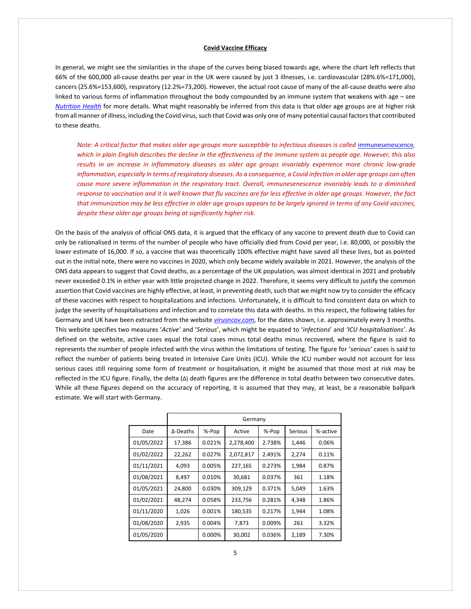In general, we might see the similarities in the shape of the curves being biased towards age, where the chart left reflects that 66% of the 600,000 all-cause deaths per year in the UK were caused by just 3 illnesses, i.e. cardiovascular (28%.6%=171,000), cancers (25.6%=153,600), respiratory (12.2%=73,200). However, the actual root cause of many of the all-cause deaths were also linked to various forms of inflammation throughout the body compounded by an immune system that weakens with age – see *[Nutrition Health](http://www.mysearch.org.uk/website4/html/100.Nutrition.html)* for more details. What might reasonably be inferred from this data is that older age groups are at higher risk from all manner of illness, including the Covid virus, such that Covid was only one of many potential causal factors that contributed to these deaths.

*Note: A critical factor that makes older age groups more susceptible to infectious diseases is called [immunesenescence](https://en.wikipedia.org/wiki/Immunosenescence)*, *which in plain English describes the decline in the effectiveness of the immune system as people age. However, this also results in an increase in inflammatory diseases as older age groups invariably experience more chronic low-grade inflammation, especially in terms of respiratory diseases. As a consequence, a Covid infection in older age groups can often cause more severe inflammation in the respiratory tract. Overall, immunesenescence invariably leads to a diminished response to vaccination and it is well known that flu vaccines are far less effective in older age groups. However, the fact that immunization may be less effective in older age groups appears to be largely ignored in terms of any Covid vaccines, despite these older age groups being at significantly higher risk.*

On the basis of the analysis of official ONS data, it is argued that the efficacy of any vaccine to prevent death due to Covid can only be rationalised in terms of the number of people who have officially died from Covid per year, i.e. 80,000, or possibly the lower estimate of 16,000. If so, a vaccine that was theoretically 100% effective might have saved all these lives, but as pointed out in the initial note, there were no vaccines in 2020, which only became widely available in 2021. However, the analysis of the ONS data appears to suggest that Covid deaths, as a percentage of the UK population, was almost identical in 2021 and probably never exceeded 0.1% in either year with little projected change in 2022. Therefore, it seems very difficult to justify the common assertion that Covid vaccines are highly effective, at least, in preventing death, such that we might now try to consider the efficacy of these vaccines with respect to hospitalizations and infections. Unfortunately, it is difficult to find consistent data on which to judge the severity of hospitalisations and infection and to correlate this data with deaths. In this respect, the following tables for Germany and UK have been extracted from the website *[virusncov.com](https://virusncov.com/)*, for the dates shown, i.e. approximately every 3 months. This website specifies two measures '*Active'* and '*Serious*', which might be equated to '*infections*' and *'ICU hospitalisations'*. As defined on the website, active cases equal the total cases minus total deaths minus recovered, where the figure is said to represents the number of people infected with the virus within the limitations of testing. The figure for '*serious'* cases is said to reflect the number of patients being treated in Intensive Care Units (ICU). While the ICU number would not account for less serious cases still requiring some form of treatment or hospitalisation, it might be assumed that those most at risk may be reflected in the ICU figure. Finally, the delta (Δ) death figures are the difference in total deaths between two consecutive dates. While all these figures depend on the accuracy of reporting, it is assumed that they may, at least, be a reasonable ballpark estimate. We will start with Germany.

|            | Germany  |        |           |        |         |          |  |
|------------|----------|--------|-----------|--------|---------|----------|--|
| Date       | ∆-Deaths | %-Pop  | Active    | %-Pop  | Serious | %-active |  |
| 01/05/2022 | 17,386   | 0.021% | 2,278,400 | 2.738% | 1,446   | 0.06%    |  |
| 01/02/2022 | 22,262   | 0.027% | 2,072,817 | 2.491% | 2,274   | 0.11%    |  |
| 01/11/2021 | 4,093    | 0.005% | 227,165   | 0.273% | 1,984   | 0.87%    |  |
| 01/08/2021 | 8.497    | 0.010% | 30,681    | 0.037% | 361     | 1.18%    |  |
| 01/05/2021 | 24,800   | 0.030% | 309,129   | 0.371% | 5,049   | 1.63%    |  |
| 01/02/2021 | 48,274   | 0.058% | 233,756   | 0.281% | 4,348   | 1.86%    |  |
| 01/11/2020 | 1,026    | 0.001% | 180,535   | 0.217% | 1.944   | 1.08%    |  |
| 01/08/2020 | 2,935    | 0.004% | 7.873     | 0.009% | 261     | 3.32%    |  |
| 01/05/2020 |          | 0.000% | 30,002    | 0.036% | 2,189   | 7.30%    |  |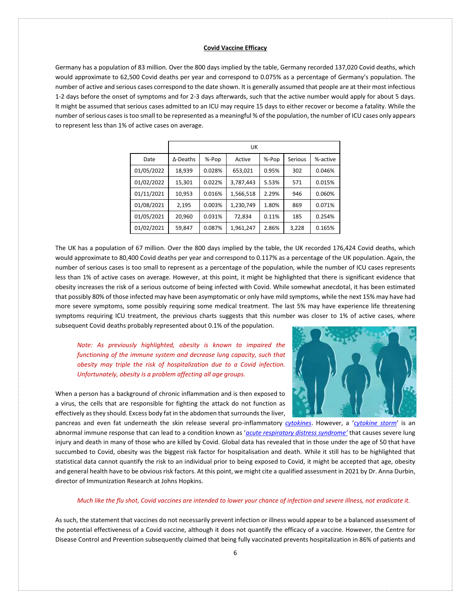Germany has a population of 83 million. Over the 800 days implied by the table, Germany recorded 137,020 Covid deaths, which would approximate to 62,500 Covid deaths per year and correspond to 0.075% as a percentage of Germany's population. The number of active and serious cases correspond to the date shown. It is generally assumed that people are at their most infectious 1-2 days before the onset of symptoms and for 2-3 days afterwards, such that the active number would apply for about 5 days. It might be assumed that serious cases admitted to an ICU may require 15 days to either recover or become a fatality. While the number of serious cases is too small to be represented as a meaningful % of the population, the number of ICU cases only appears to represent less than 1% of active cases on average.

|            | UK               |        |           |       |         |          |  |
|------------|------------------|--------|-----------|-------|---------|----------|--|
| Date       | $\Delta$ -Deaths | %-Pop  | Active    | %-Pop | Serious | %-active |  |
| 01/05/2022 | 18,939           | 0.028% | 653,021   | 0.95% | 302     | 0.046%   |  |
| 01/02/2022 | 15,301           | 0.022% | 3,787,443 | 5.53% | 571     | 0.015%   |  |
| 01/11/2021 | 10,953           | 0.016% | 1,566,518 | 2.29% | 946     | 0.060%   |  |
| 01/08/2021 | 2.195            | 0.003% | 1,230,749 | 1.80% | 869     | 0.071%   |  |
| 01/05/2021 | 20,960           | 0.031% | 72,834    | 0.11% | 185     | 0.254%   |  |
| 01/02/2021 | 59,847           | 0.087% | 1,961,247 | 2.86% | 3,228   | 0.165%   |  |

The UK has a population of 67 million. Over the 800 days implied by the table, the UK recorded 176,424 Covid deaths, which would approximate to 80,400 Covid deaths per year and correspond to 0.117% as a percentage of the UK population. Again, the number of serious cases is too small to represent as a percentage of the population, while the number of ICU cases represents less than 1% of active cases on average. However, at this point, it might be highlighted that there is significant evidence that obesity increases the risk of a serious outcome of being infected with Covid. While somewhat anecdotal, it has been estimated that possibly 80% of those infected may have been asymptomatic or only have mild symptoms, while the next 15% may have had more severe symptoms, some possibly requiring some medical treatment. The last 5% may have experience life threatening symptoms requiring ICU treatment, the previous charts suggests that this number was closer to 1% of active cases, where subsequent Covid deaths probably represented about 0.1% of the population.

*Note: As previously highlighted, obesity is known to impaired the functioning of the immune system and decrease lung capacity, such that obesity may triple the risk of hospitalization due to a Covid infection. Unfortunately, obesity is a problem affecting all age groups.*

When a person has a background of chronic inflammation and is then exposed to a virus, the cells that are responsible for fighting the attack do not function as effectively as they should. Excess body fat in the abdomen that surrounds the liver,



pancreas and even fat underneath the skin release several pro-inflammatory *[cytokines](https://en.wikipedia.org/wiki/Cytokine)*. However, a '*[cytokine storm](https://en.wikipedia.org/wiki/Cytokine_storm)*' is an abnormal immune response that can lead to a condition known as '*[acute respiratory distress syndrome](https://en.wikipedia.org/wiki/Acute_respiratory_distress_syndrome)'* that causes severe lung injury and death in many of those who are killed by Covid. Global data has revealed that in those under the age of 50 that have succumbed to Covid, obesity was the biggest risk factor for hospitalisation and death. While it still has to be highlighted that statistical data cannot quantify the risk to an individual prior to being exposed to Covid, it might be accepted that age, obesity and general health have to be obvious risk factors. At this point, we might cite a qualified assessment in 2021 by Dr. Anna Durbin, director of Immunization Research at Johns Hopkins.

### *Much like the flu shot, Covid vaccines are intended to lower your chance of infection and severe illness, not eradicate it.*

As such, the statement that vaccines do not necessarily prevent infection or illness would appear to be a balanced assessment of the potential effectiveness of a Covid vaccine, although it does not quantify the efficacy of a vaccine. However, the Centre for Disease Control and Prevention subsequently claimed that being fully vaccinated prevents hospitalization in 86% of patients and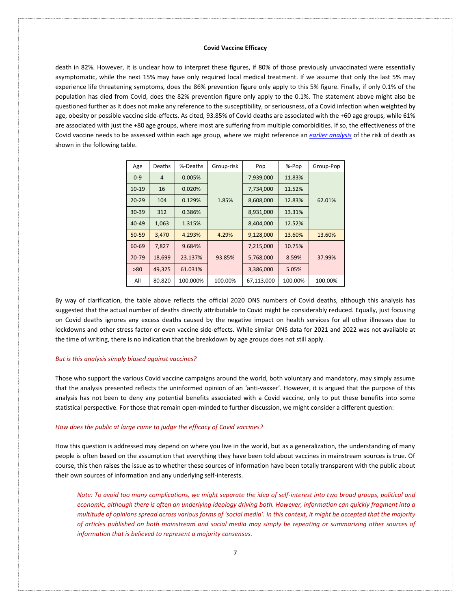death in 82%. However, it is unclear how to interpret these figures, if 80% of those previously unvaccinated were essentially asymptomatic, while the next 15% may have only required local medical treatment. If we assume that only the last 5% may experience life threatening symptoms, does the 86% prevention figure only apply to this 5% figure. Finally, if only 0.1% of the population has died from Covid, does the 82% prevention figure only apply to the 0.1%. The statement above might also be questioned further as it does not make any reference to the susceptibility, or seriousness, of a Covid infection when weighted by age, obesity or possible vaccine side-effects. As cited, 93.85% of Covid deaths are associated with the +60 age groups, while 61% are associated with just the +80 age groups, where most are suffering from multiple comorbidities. If so, the effectiveness of the Covid vaccine needs to be assessed within each age group, where we might reference an *[earlier analysis](http://www.mysearch.org.uk/website4/html/70.Pandemic.html)* of the risk of death as shown in the following table.

| Age       | <b>Deaths</b>  | %-Deaths | Group-risk | Pop        | %-Pop   | Group-Pop |
|-----------|----------------|----------|------------|------------|---------|-----------|
| $0 - 9$   | $\overline{4}$ | 0.005%   |            | 7,939,000  | 11.83%  |           |
| $10 - 19$ | 16             | 0.020%   |            | 7,734,000  | 11.52%  |           |
| $20 - 29$ | 104            | 0.129%   | 1.85%      | 8,608,000  | 12.83%  | 62.01%    |
| $30 - 39$ | 312            | 0.386%   |            | 8,931,000  | 13.31%  |           |
| $40 - 49$ | 1,063          | 1.315%   |            | 8,404,000  | 12.52%  |           |
| $50 - 59$ | 3.470          | 4.293%   | 4.29%      | 9,128,000  | 13.60%  | 13.60%    |
| 60-69     | 7,827          | 9.684%   |            | 7,215,000  | 10.75%  |           |
| 70-79     | 18,699         | 23.137%  | 93.85%     | 5,768,000  | 8.59%   | 37.99%    |
| >80       | 49,325         | 61.031%  |            | 3,386,000  | 5.05%   |           |
| All       | 80,820         | 100.000% | 100.00%    | 67,113,000 | 100.00% | 100.00%   |

By way of clarification, the table above reflects the official 2020 ONS numbers of Covid deaths, although this analysis has suggested that the actual number of deaths directly attributable to Covid might be considerably reduced. Equally, just focusing on Covid deaths ignores any excess deaths caused by the negative impact on health services for all other illnesses due to lockdowns and other stress factor or even vaccine side-effects. While similar ONS data for 2021 and 2022 was not available at the time of writing, there is no indication that the breakdown by age groups does not still apply.

#### *But is this analysis simply biased against vaccines?*

Those who support the various Covid vaccine campaigns around the world, both voluntary and mandatory, may simply assume that the analysis presented reflects the uninformed opinion of an 'anti-vaxxer'. However, it is argued that the purpose of this analysis has not been to deny any potential benefits associated with a Covid vaccine, only to put these benefits into some statistical perspective. For those that remain open-minded to further discussion, we might consider a different question:

#### *How does the public at large come to judge the efficacy of Covid vaccines?*

How this question is addressed may depend on where you live in the world, but as a generalization, the understanding of many people is often based on the assumption that everything they have been told about vaccines in mainstream sources is true. Of course, this then raises the issue as to whether these sources of information have been totally transparent with the public about their own sources of information and any underlying self-interests.

*Note: To avoid too many complications, we might separate the idea of self-interest into two broad groups, political and economic, although there is often an underlying ideology driving both. However, information can quickly fragment into a multitude of opinions spread across various forms of 'social media'. In this context, it might be accepted that the majority of articles published on both mainstream and social media may simply be repeating or summarizing other sources of information that is believed to represent a majority consensus.*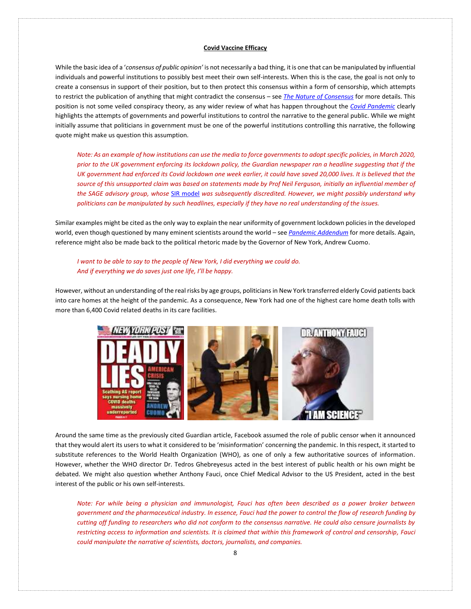While the basic idea of a '*consensus of public opinion'* is not necessarily a bad thing, it is one that can be manipulated by influential individuals and powerful institutions to possibly best meet their own self-interests. When this is the case, the goal is not only to create a consensus in support of their position, but to then protect this consensus within a form of censorship, which attempts to restrict the publication of anything that might contradict the consensus – see *[The Nature of Consensus](http://www.mysearch.org.uk/website2/html/262.Consensus.html)* for more details. This position is not some veiled conspiracy theory, as any wider review of what has happen throughout the *[Covid Pandemic](http://www.mysearch.org.uk/website4/html/22.Covid19.html)* clearly highlights the attempts of governments and powerful institutions to control the narrative to the general public. While we might initially assume that politicians in government must be one of the powerful institutions controlling this narrative, the following quote might make us question this assumption.

*Note: As an example of how institutions can use the media to force governments to adopt specific policies, in March 2020, prior to the UK government enforcing its lockdown policy, the Guardian newspaper ran a headline suggesting that if the UK government had enforced its Covid lockdown one week earlier, it could have saved 20,000 lives. It is believed that the source of this unsupported claim was based on statements made by Prof Neil Ferguson, initially an influential member of the SAGE advisory group, whose* [SIR model](http://www.mysearch.org.uk/website4/html/49.Appendix.html) *was subsequently discredited. However, we might possibly understand why politicians can be manipulated by such headlines, especially if they have no real understanding of the issues.* 

Similar examples might be cited as the only way to explain the near uniformity of government lockdown policies in the developed world, even though questioned by many eminent scientists around the world – see *[Pandemic Addendum](http://www.mysearch.org.uk/website4/html/48.Addendum.html)* for more details. Again, reference might also be made back to the political rhetoric made by the Governor of New York, Andrew Cuomo.

# *I want to be able to say to the people of New York, I did everything we could do. And if everything we do saves just one life, I'll be happy.*

However, without an understanding of the real risks by age groups, politicians in New York transferred elderly Covid patients back into care homes at the height of the pandemic. As a consequence, New York had one of the highest care home death tolls with more than 6,400 Covid related deaths in its care facilities.



Around the same time as the previously cited Guardian article, Facebook assumed the role of public censor when it announced that they would alert its users to what it considered to be 'misinformation' concerning the pandemic. In this respect, it started to substitute references to the World Health Organization (WHO), as one of only a few authoritative sources of information. However, whether the WHO director Dr. Tedros Ghebreyesus acted in the best interest of public health or his own might be debated. We might also question whether Anthony Fauci, once Chief Medical Advisor to the US President, acted in the best interest of the public or his own self-interests.

*Note: For while being a physician and immunologist, Fauci has often been described as a power broker between government and the pharmaceutical industry. In essence, Fauci had the power to control the flow of research funding by cutting off funding to researchers who did not conform to the consensus narrative. He could also censure journalists by restricting access to information and scientists. It is claimed that within this framework of control and censorship, Fauci could manipulate the narrative of scientists, doctors, journalists, and companies.*